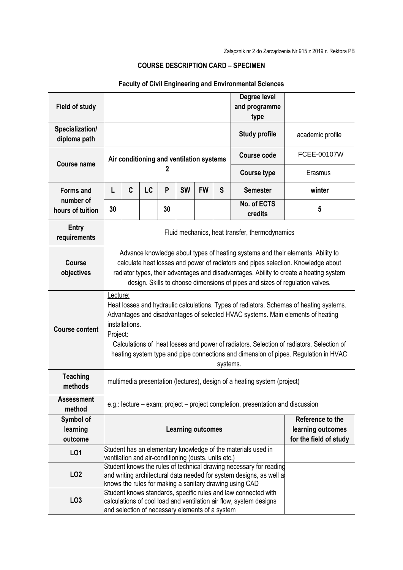| <b>Faculty of Civil Engineering and Environmental Sciences</b> |                                                                                                                                                                                                                                                                                                                                                                                                                     |                                                                                                                      |    |    |           |           |                                       |                        |                                                                 |  |  |
|----------------------------------------------------------------|---------------------------------------------------------------------------------------------------------------------------------------------------------------------------------------------------------------------------------------------------------------------------------------------------------------------------------------------------------------------------------------------------------------------|----------------------------------------------------------------------------------------------------------------------|----|----|-----------|-----------|---------------------------------------|------------------------|-----------------------------------------------------------------|--|--|
| <b>Field of study</b>                                          |                                                                                                                                                                                                                                                                                                                                                                                                                     |                                                                                                                      |    |    |           |           | Degree level<br>and programme<br>type |                        |                                                                 |  |  |
| Specialization/<br>diploma path                                |                                                                                                                                                                                                                                                                                                                                                                                                                     |                                                                                                                      |    |    |           |           |                                       | <b>Study profile</b>   | academic profile                                                |  |  |
| <b>Course name</b>                                             | Air conditioning and ventilation systems<br>2                                                                                                                                                                                                                                                                                                                                                                       |                                                                                                                      |    |    |           |           |                                       | <b>Course code</b>     | FCEE-00107W                                                     |  |  |
|                                                                |                                                                                                                                                                                                                                                                                                                                                                                                                     |                                                                                                                      |    |    |           |           |                                       | <b>Course type</b>     | Erasmus                                                         |  |  |
| <b>Forms and</b><br>number of<br>hours of tuition              | L                                                                                                                                                                                                                                                                                                                                                                                                                   | C                                                                                                                    | LC | P  | <b>SW</b> | <b>FW</b> | S                                     | <b>Semester</b>        | winter                                                          |  |  |
|                                                                | 30                                                                                                                                                                                                                                                                                                                                                                                                                  |                                                                                                                      |    | 30 |           |           |                                       | No. of ECTS<br>credits | 5                                                               |  |  |
| <b>Entry</b><br>requirements                                   | Fluid mechanics, heat transfer, thermodynamics                                                                                                                                                                                                                                                                                                                                                                      |                                                                                                                      |    |    |           |           |                                       |                        |                                                                 |  |  |
| <b>Course</b><br>objectives                                    | Advance knowledge about types of heating systems and their elements. Ability to<br>calculate heat losses and power of radiators and pipes selection. Knowledge about<br>radiator types, their advantages and disadvantages. Ability to create a heating system<br>design. Skills to choose dimensions of pipes and sizes of regulation valves.                                                                      |                                                                                                                      |    |    |           |           |                                       |                        |                                                                 |  |  |
| <b>Course content</b>                                          | Lecture;<br>Heat losses and hydraulic calculations. Types of radiators. Schemas of heating systems.<br>Advantages and disadvantages of selected HVAC systems. Main elements of heating<br>installations.<br>Project:<br>Calculations of heat losses and power of radiators. Selection of radiators. Selection of<br>heating system type and pipe connections and dimension of pipes. Regulation in HVAC<br>systems. |                                                                                                                      |    |    |           |           |                                       |                        |                                                                 |  |  |
| <b>Teaching</b><br>methods                                     | multimedia presentation (lectures), design of a heating system (project)                                                                                                                                                                                                                                                                                                                                            |                                                                                                                      |    |    |           |           |                                       |                        |                                                                 |  |  |
| <b>Assessment</b><br>method                                    | e.g.: lecture – exam; project – project completion, presentation and discussion                                                                                                                                                                                                                                                                                                                                     |                                                                                                                      |    |    |           |           |                                       |                        |                                                                 |  |  |
| Symbol of<br>learning<br>outcome                               | <b>Learning outcomes</b>                                                                                                                                                                                                                                                                                                                                                                                            |                                                                                                                      |    |    |           |           |                                       |                        | Reference to the<br>learning outcomes<br>for the field of study |  |  |
| LO1                                                            |                                                                                                                                                                                                                                                                                                                                                                                                                     | Student has an elementary knowledge of the materials used in<br>ventilation and air-conditioning (dusts, units etc.) |    |    |           |           |                                       |                        |                                                                 |  |  |
| LO <sub>2</sub>                                                | Student knows the rules of technical drawing necessary for reading<br>and writing architectural data needed for system designs, as well a<br>knows the rules for making a sanitary drawing using CAD                                                                                                                                                                                                                |                                                                                                                      |    |    |           |           |                                       |                        |                                                                 |  |  |
| LO <sub>3</sub>                                                | Student knows standards, specific rules and law connected with<br>calculations of cool load and ventilation air flow, system designs<br>and selection of necessary elements of a system                                                                                                                                                                                                                             |                                                                                                                      |    |    |           |           |                                       |                        |                                                                 |  |  |

## **COURSE DESCRIPTION CARD – SPECIMEN**